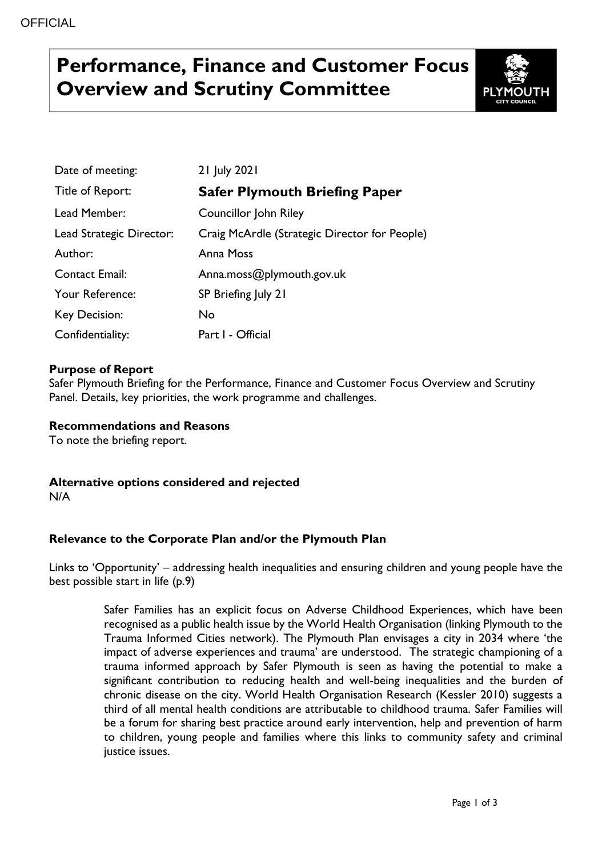# **Performance, Finance and Customer Focus Overview and Scrutiny Committee**



| Date of meeting:         | 21 July 2021                                  |
|--------------------------|-----------------------------------------------|
| Title of Report:         | <b>Safer Plymouth Briefing Paper</b>          |
| Lead Member:             | Councillor John Riley                         |
| Lead Strategic Director: | Craig McArdle (Strategic Director for People) |
| Author:                  | Anna Moss                                     |
| <b>Contact Email:</b>    | Anna.moss@plymouth.gov.uk                     |
| Your Reference:          | SP Briefing July 21                           |
| <b>Key Decision:</b>     | No                                            |
| Confidentiality:         | Part I - Official                             |

## **Purpose of Report**

Safer Plymouth Briefing for the Performance, Finance and Customer Focus Overview and Scrutiny Panel. Details, key priorities, the work programme and challenges.

**Recommendations and Reasons**

To note the briefing report.

**Alternative options considered and rejected** N/A

## **Relevance to the Corporate Plan and/or the Plymouth Plan**

Links to 'Opportunity' – addressing health inequalities and ensuring children and young people have the best possible start in life (p.9)

> Safer Families has an explicit focus on Adverse Childhood Experiences, which have been recognised as a public health issue by the World Health Organisation (linking Plymouth to the Trauma Informed Cities network). The Plymouth Plan envisages a city in 2034 where 'the impact of adverse experiences and trauma' are understood. The strategic championing of a trauma informed approach by Safer Plymouth is seen as having the potential to make a significant contribution to reducing health and well-being inequalities and the burden of chronic disease on the city. World Health Organisation Research (Kessler 2010) suggests a third of all mental health conditions are attributable to childhood trauma. Safer Families will be a forum for sharing best practice around early intervention, help and prevention of harm to children, young people and families where this links to community safety and criminal justice issues.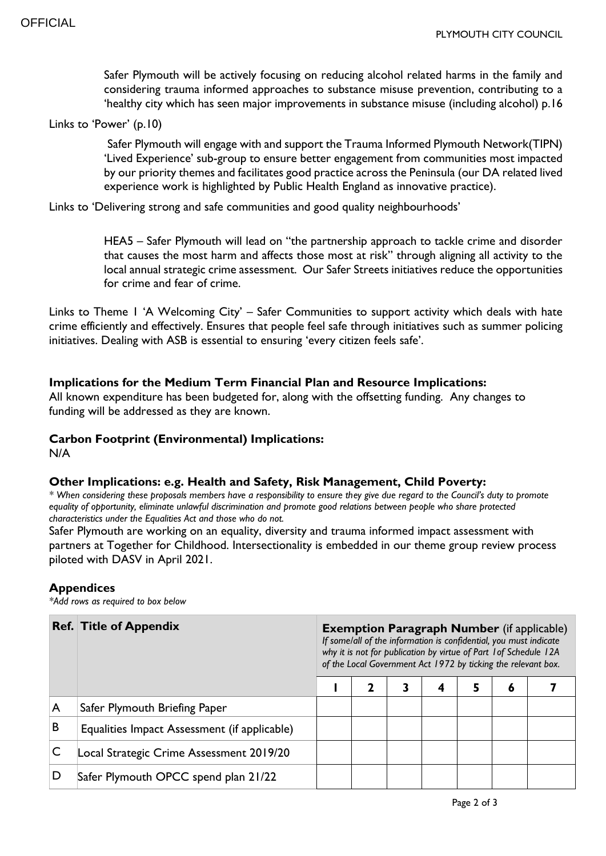Safer Plymouth will be actively focusing on reducing alcohol related harms in the family and considering trauma informed approaches to substance misuse prevention, contributing to a 'healthy city which has seen major improvements in substance misuse (including alcohol) p.16

Links to 'Power' (p.10)

Safer Plymouth will engage with and support the Trauma Informed Plymouth Network(TIPN) 'Lived Experience' sub-group to ensure better engagement from communities most impacted by our priority themes and facilitates good practice across the Peninsula (our DA related lived experience work is highlighted by Public Health England as innovative practice).

Links to 'Delivering strong and safe communities and good quality neighbourhoods'

HEA5 – Safer Plymouth will lead on "the partnership approach to tackle crime and disorder that causes the most harm and affects those most at risk" through aligning all activity to the local annual strategic crime assessment. Our Safer Streets initiatives reduce the opportunities for crime and fear of crime.

Links to Theme 1 'A Welcoming City' – Safer Communities to support activity which deals with hate crime efficiently and effectively. Ensures that people feel safe through initiatives such as summer policing initiatives. Dealing with ASB is essential to ensuring 'every citizen feels safe'.

### **Implications for the Medium Term Financial Plan and Resource Implications:**

All known expenditure has been budgeted for, along with the offsetting funding. Any changes to funding will be addressed as they are known.

### **Carbon Footprint (Environmental) Implications:**

N/A

### **Other Implications: e.g. Health and Safety, Risk Management, Child Poverty:**

*\* When considering these proposals members have a responsibility to ensure they give due regard to the Council's duty to promote equality of opportunity, eliminate unlawful discrimination and promote good relations between people who share protected characteristics under the Equalities Act and those who do not.*

Safer Plymouth are working on an equality, diversity and trauma informed impact assessment with partners at Together for Childhood. Intersectionality is embedded in our theme group review process piloted with DASV in April 2021.

#### **Appendices**

*\*Add rows as required to box below*

|   | <b>Ref. Title of Appendix</b>                | <b>Exemption Paragraph Number</b> (if applicable)<br>If some/all of the information is confidential, you must indicate<br>why it is not for publication by virtue of Part 1 of Schedule 12A<br>of the Local Government Act 1972 by ticking the relevant box. |   |  |   |   |   |  |  |  |
|---|----------------------------------------------|--------------------------------------------------------------------------------------------------------------------------------------------------------------------------------------------------------------------------------------------------------------|---|--|---|---|---|--|--|--|
|   |                                              |                                                                                                                                                                                                                                                              | 7 |  | 4 | 5 | 6 |  |  |  |
| A | Safer Plymouth Briefing Paper                |                                                                                                                                                                                                                                                              |   |  |   |   |   |  |  |  |
| B | Equalities Impact Assessment (if applicable) |                                                                                                                                                                                                                                                              |   |  |   |   |   |  |  |  |
|   | Local Strategic Crime Assessment 2019/20     |                                                                                                                                                                                                                                                              |   |  |   |   |   |  |  |  |
|   | Safer Plymouth OPCC spend plan 21/22         |                                                                                                                                                                                                                                                              |   |  |   |   |   |  |  |  |